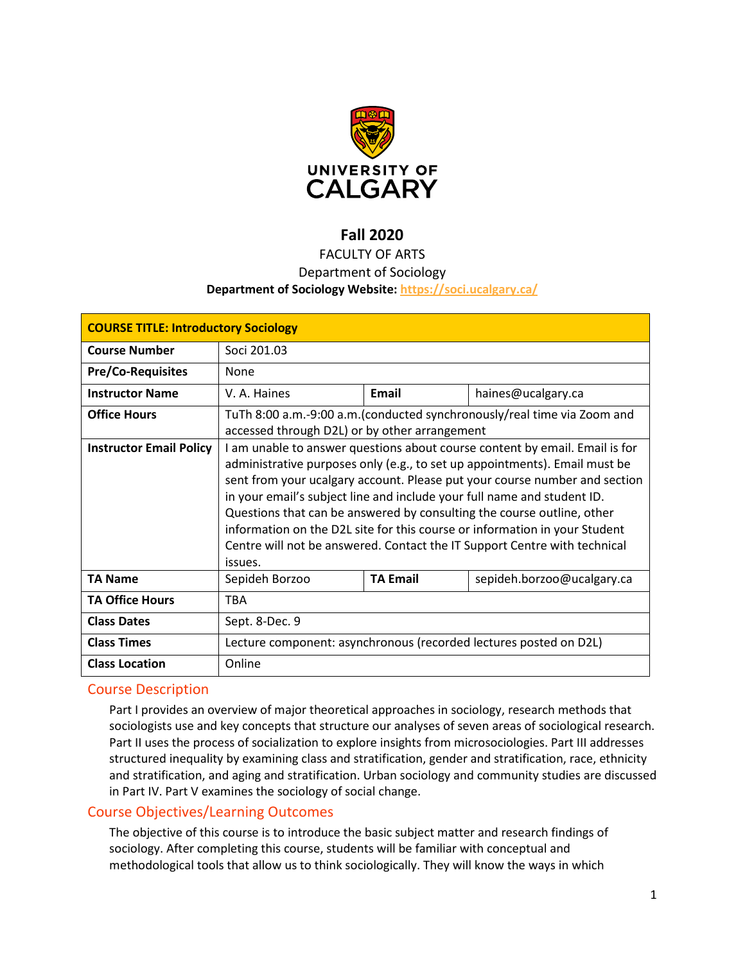

# **Fall 2020**

## FACULTY OF ARTS

## Department of Sociology

### **Department of Sociology Website:<https://soci.ucalgary.ca/>**

| <b>COURSE TITLE: Introductory Sociology</b> |                                                                             |                 |                            |  |  |
|---------------------------------------------|-----------------------------------------------------------------------------|-----------------|----------------------------|--|--|
| <b>Course Number</b>                        | Soci 201.03                                                                 |                 |                            |  |  |
| <b>Pre/Co-Requisites</b>                    | None                                                                        |                 |                            |  |  |
| <b>Instructor Name</b>                      | V. A. Haines                                                                | Email           | haines@ucalgary.ca         |  |  |
| <b>Office Hours</b>                         | TuTh 8:00 a.m.-9:00 a.m.(conducted synchronously/real time via Zoom and     |                 |                            |  |  |
|                                             | accessed through D2L) or by other arrangement                               |                 |                            |  |  |
| <b>Instructor Email Policy</b>              | I am unable to answer questions about course content by email. Email is for |                 |                            |  |  |
|                                             | administrative purposes only (e.g., to set up appointments). Email must be  |                 |                            |  |  |
|                                             | sent from your ucalgary account. Please put your course number and section  |                 |                            |  |  |
|                                             | in your email's subject line and include your full name and student ID.     |                 |                            |  |  |
|                                             | Questions that can be answered by consulting the course outline, other      |                 |                            |  |  |
|                                             | information on the D2L site for this course or information in your Student  |                 |                            |  |  |
|                                             | Centre will not be answered. Contact the IT Support Centre with technical   |                 |                            |  |  |
|                                             | issues.                                                                     |                 |                            |  |  |
| <b>TA Name</b>                              | Sepideh Borzoo                                                              | <b>TA Email</b> | sepideh.borzoo@ucalgary.ca |  |  |
| <b>TA Office Hours</b>                      | <b>TBA</b>                                                                  |                 |                            |  |  |
| <b>Class Dates</b>                          | Sept. 8-Dec. 9                                                              |                 |                            |  |  |
| <b>Class Times</b>                          | Lecture component: asynchronous (recorded lectures posted on D2L)           |                 |                            |  |  |
| <b>Class Location</b>                       | Online                                                                      |                 |                            |  |  |

## Course Description

Part I provides an overview of major theoretical approaches in sociology, research methods that sociologists use and key concepts that structure our analyses of seven areas of sociological research. Part II uses the process of socialization to explore insights from microsociologies. Part III addresses structured inequality by examining class and stratification, gender and stratification, race, ethnicity and stratification, and aging and stratification. Urban sociology and community studies are discussed in Part IV. Part V examines the sociology of social change.

## Course Objectives/Learning Outcomes

The objective of this course is to introduce the basic subject matter and research findings of sociology. After completing this course, students will be familiar with conceptual and methodological tools that allow us to think sociologically. They will know the ways in which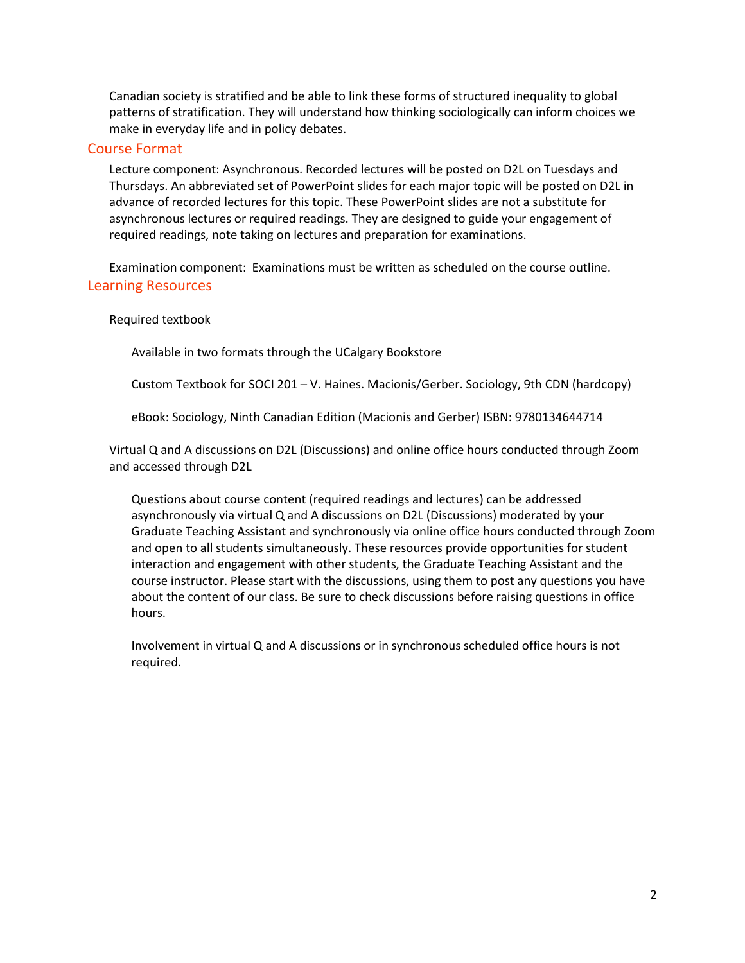Canadian society is stratified and be able to link these forms of structured inequality to global patterns of stratification. They will understand how thinking sociologically can inform choices we make in everyday life and in policy debates.

### Course Format

Lecture component: Asynchronous. Recorded lectures will be posted on D2L on Tuesdays and Thursdays. An abbreviated set of PowerPoint slides for each major topic will be posted on D2L in advance of recorded lectures for this topic. These PowerPoint slides are not a substitute for asynchronous lectures or required readings. They are designed to guide your engagement of required readings, note taking on lectures and preparation for examinations.

Examination component: Examinations must be written as scheduled on the course outline. Learning Resources

#### Required textbook

Available in two formats through the UCalgary Bookstore

Custom Textbook for SOCI 201 – V. Haines. Macionis/Gerber. Sociology, 9th CDN (hardcopy)

eBook: Sociology, Ninth Canadian Edition (Macionis and Gerber) ISBN: 9780134644714

Virtual Q and A discussions on D2L (Discussions) and online office hours conducted through Zoom and accessed through D2L

Questions about course content (required readings and lectures) can be addressed asynchronously via virtual Q and A discussions on D2L (Discussions) moderated by your Graduate Teaching Assistant and synchronously via online office hours conducted through Zoom and open to all students simultaneously. These resources provide opportunities for student interaction and engagement with other students, the Graduate Teaching Assistant and the course instructor. Please start with the discussions, using them to post any questions you have about the content of our class. Be sure to check discussions before raising questions in office hours.

Involvement in virtual Q and A discussions or in synchronous scheduled office hours is not required.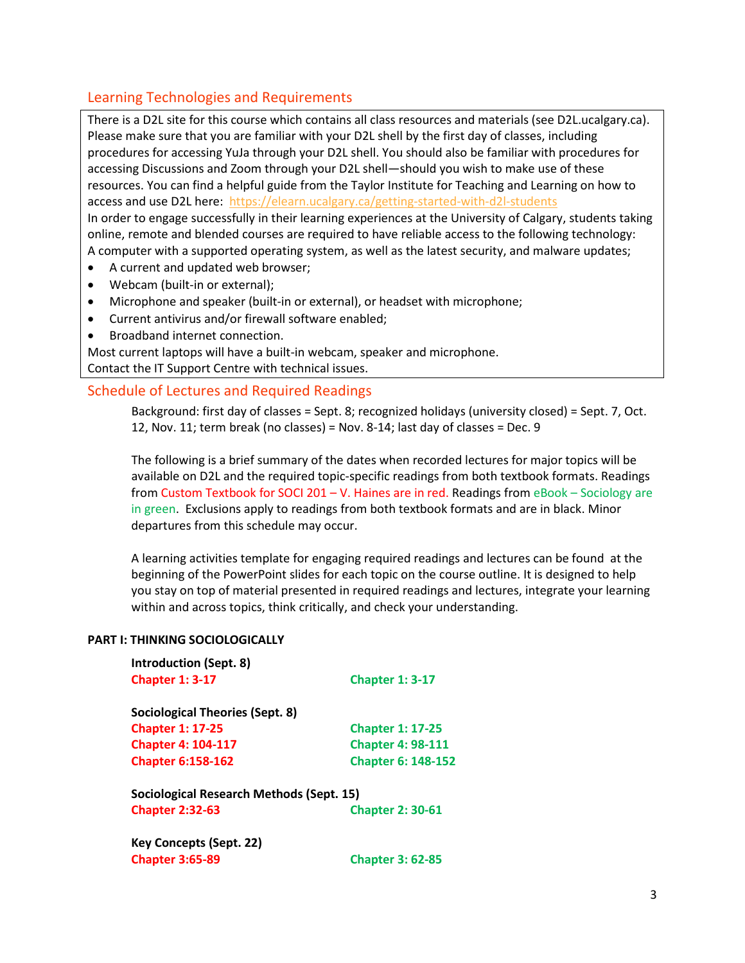## Learning Technologies and Requirements

There is a D2L site for this course which contains all class resources and materials (see D2L.ucalgary.ca). Please make sure that you are familiar with your D2L shell by the first day of classes, including procedures for accessing YuJa through your D2L shell. You should also be familiar with procedures for accessing Discussions and Zoom through your D2L shell—should you wish to make use of these resources. You can find a helpful guide from the Taylor Institute for Teaching and Learning on how to access and use D2L here:<https://elearn.ucalgary.ca/getting-started-with-d2l-students> In order to engage successfully in their learning experiences at the University of Calgary, students taking online, remote and blended courses are required to have reliable access to the following technology: A computer with a supported operating system, as well as the latest security, and malware updates;

- A current and updated web browser;
- Webcam (built-in or external);
- Microphone and speaker (built-in or external), or headset with microphone;
- Current antivirus and/or firewall software enabled;
- Broadband internet connection.

Most current laptops will have a built-in webcam, speaker and microphone. Contact the IT Support Centre with technical issues.

## Schedule of Lectures and Required Readings

Background: first day of classes = Sept. 8; recognized holidays (university closed) = Sept. 7, Oct. 12, Nov. 11; term break (no classes) = Nov. 8-14; last day of classes = Dec. 9

The following is a brief summary of the dates when recorded lectures for major topics will be available on D2L and the required topic-specific readings from both textbook formats. Readings from Custom Textbook for SOCI 201 – V. Haines are in red. Readings from eBook – Sociology are in green. Exclusions apply to readings from both textbook formats and are in black. Minor departures from this schedule may occur.

A learning activities template for engaging required readings and lectures can be found at the beginning of the PowerPoint slides for each topic on the course outline. It is designed to help you stay on top of material presented in required readings and lectures, integrate your learning within and across topics, think critically, and check your understanding.

### **PART I: THINKING SOCIOLOGICALLY**

| <b>Introduction (Sept. 8)</b>            |                           |
|------------------------------------------|---------------------------|
| <b>Chapter 1: 3-17</b>                   | <b>Chapter 1: 3-17</b>    |
| Sociological Theories (Sept. 8)          |                           |
| <b>Chapter 1: 17-25</b>                  | <b>Chapter 1: 17-25</b>   |
| <b>Chapter 4: 104-117</b>                | <b>Chapter 4: 98-111</b>  |
| <b>Chapter 6:158-162</b>                 | <b>Chapter 6: 148-152</b> |
| Sociological Research Methods (Sept. 15) |                           |
| <b>Chapter 2:32-63</b>                   | <b>Chapter 2: 30-61</b>   |
| <b>Key Concepts (Sept. 22)</b>           |                           |
| <b>Chapter 3:65-89</b>                   | <b>Chapter 3: 62-85</b>   |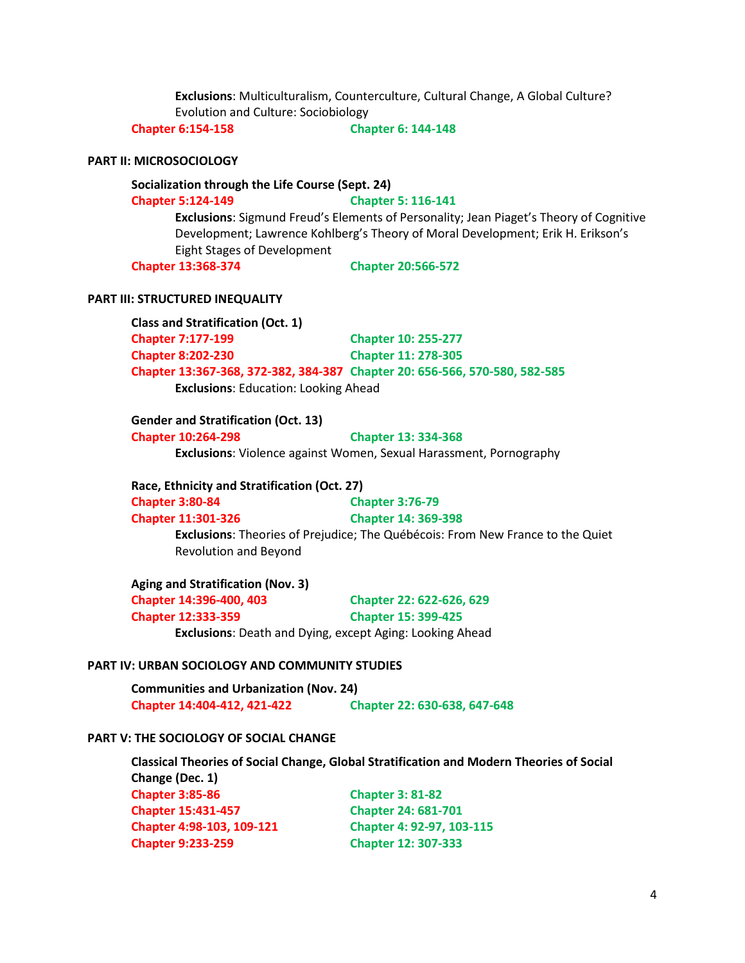**Exclusions**: Multiculturalism, Counterculture, Cultural Change, A Global Culture? Evolution and Culture: Sociobiology

**Chapter 6:154-158 Chapter 6: 144-148**

#### **PART II: MICROSOCIOLOGY**

#### **Socialization through the Life Course (Sept. 24)**

#### **Chapter 5:124-149 Chapter 5: 116-141**

**Exclusions**: Sigmund Freud's Elements of Personality; Jean Piaget's Theory of Cognitive Development; Lawrence Kohlberg's Theory of Moral Development; Erik H. Erikson's Eight Stages of Development

**Chapter 13:368-374 Chapter 20:566-572**

#### **PART III: STRUCTURED INEQUALITY**

**Class and Stratification (Oct. 1) Chapter 7:177-199 Chapter 10: 255-277 Chapter 8:202-230 Chapter 11: 278-305 Chapter 13:367-368, 372-382, 384-387 Chapter 20: 656-566, 570-580, 582-585 Exclusions**: Education: Looking Ahead

#### **Gender and Stratification (Oct. 13)**

**Chapter 10:264-298 Chapter 13: 334-368 Exclusions**: Violence against Women, Sexual Harassment, Pornography

#### **Race, Ethnicity and Stratification (Oct. 27)**

**Chapter 3:80-84 Chapter 3:76-79**

## **Chapter 11:301-326 Chapter 14: 369-398**

**Exclusions**: Theories of Prejudice; The Québécois: From New France to the Quiet Revolution and Beyond

**Aging and Stratification (Nov. 3) Chapter 14:396-400, 403 Chapter 22: 622-626, 629 Chapter 12:333-359 Chapter 15: 399-425 Exclusions**: Death and Dying, except Aging: Looking Ahead

#### **PART IV: URBAN SOCIOLOGY AND COMMUNITY STUDIES**

**Communities and Urbanization (Nov. 24) Chapter 14:404-412, 421-422 Chapter 22: 630-638, 647-648**

**Chapter 9:233-259 Chapter 12: 307-333**

## **PART V: THE SOCIOLOGY OF SOCIAL CHANGE**

**Classical Theories of Social Change, Global Stratification and Modern Theories of Social Change (Dec. 1) Chapter 3:85-86 Chapter 3: 81-82 Chapter 15:431-457 Chapter 24: 681-701 Chapter 4:98-103, 109-121 Chapter 4: 92-97, 103-115**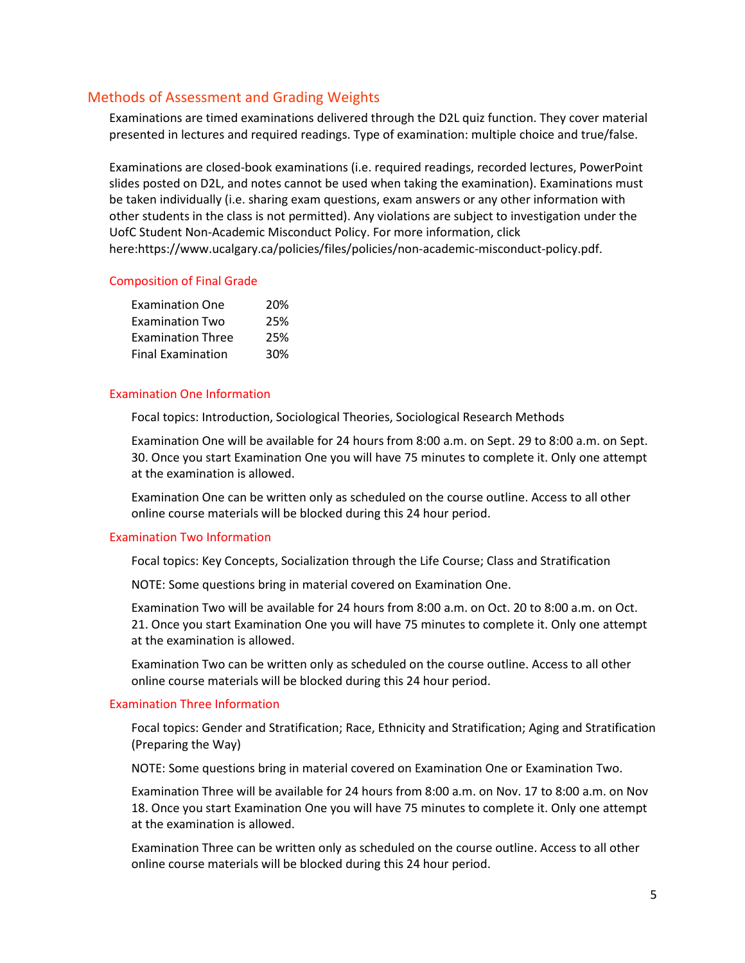## Methods of Assessment and Grading Weights

Examinations are timed examinations delivered through the D2L quiz function. They cover material presented in lectures and required readings. Type of examination: multiple choice and true/false.

Examinations are closed-book examinations (i.e. required readings, recorded lectures, PowerPoint slides posted on D2L, and notes cannot be used when taking the examination). Examinations must be taken individually (i.e. sharing exam questions, exam answers or any other information with other students in the class is not permitted). Any violations are subject to investigation under the UofC Student Non-Academic Misconduct Policy. For more information, click here:https://www.ucalgary.ca/policies/files/policies/non-academic-misconduct-policy.pdf.

#### Composition of Final Grade

| <b>Examination One</b>   | 20% |
|--------------------------|-----|
| <b>Examination Two</b>   | 25% |
| <b>Examination Three</b> | 25% |
| <b>Final Examination</b> | 30% |

#### Examination One Information

Focal topics: Introduction, Sociological Theories, Sociological Research Methods

Examination One will be available for 24 hours from 8:00 a.m. on Sept. 29 to 8:00 a.m. on Sept. 30. Once you start Examination One you will have 75 minutes to complete it. Only one attempt at the examination is allowed.

Examination One can be written only as scheduled on the course outline. Access to all other online course materials will be blocked during this 24 hour period.

#### Examination Two Information

Focal topics: Key Concepts, Socialization through the Life Course; Class and Stratification

NOTE: Some questions bring in material covered on Examination One.

Examination Two will be available for 24 hours from 8:00 a.m. on Oct. 20 to 8:00 a.m. on Oct. 21. Once you start Examination One you will have 75 minutes to complete it. Only one attempt at the examination is allowed.

Examination Two can be written only as scheduled on the course outline. Access to all other online course materials will be blocked during this 24 hour period.

#### Examination Three Information

Focal topics: Gender and Stratification; Race, Ethnicity and Stratification; Aging and Stratification (Preparing the Way)

NOTE: Some questions bring in material covered on Examination One or Examination Two.

Examination Three will be available for 24 hours from 8:00 a.m. on Nov. 17 to 8:00 a.m. on Nov 18. Once you start Examination One you will have 75 minutes to complete it. Only one attempt at the examination is allowed.

Examination Three can be written only as scheduled on the course outline. Access to all other online course materials will be blocked during this 24 hour period.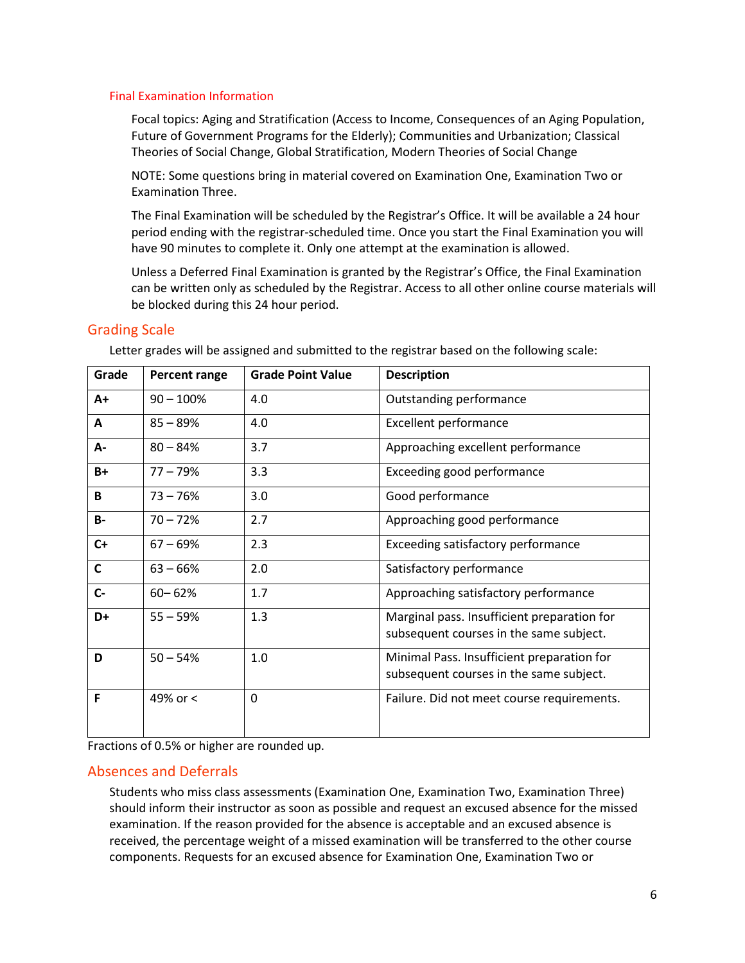#### Final Examination Information

Focal topics: Aging and Stratification (Access to Income, Consequences of an Aging Population, Future of Government Programs for the Elderly); Communities and Urbanization; Classical Theories of Social Change, Global Stratification, Modern Theories of Social Change

NOTE: Some questions bring in material covered on Examination One, Examination Two or Examination Three.

The Final Examination will be scheduled by the Registrar's Office. It will be available a 24 hour period ending with the registrar-scheduled time. Once you start the Final Examination you will have 90 minutes to complete it. Only one attempt at the examination is allowed.

Unless a Deferred Final Examination is granted by the Registrar's Office, the Final Examination can be written only as scheduled by the Registrar. Access to all other online course materials will be blocked during this 24 hour period.

## Grading Scale

| Grade     | Percent range | <b>Grade Point Value</b> | <b>Description</b>                                                                     |
|-----------|---------------|--------------------------|----------------------------------------------------------------------------------------|
| $A+$      | $90 - 100\%$  | 4.0                      | Outstanding performance                                                                |
| A         | $85 - 89%$    | 4.0                      | <b>Excellent performance</b>                                                           |
| А-        | $80 - 84%$    | 3.7                      | Approaching excellent performance                                                      |
| $B+$      | $77 - 79%$    | 3.3                      | Exceeding good performance                                                             |
| B         | $73 - 76%$    | 3.0                      | Good performance                                                                       |
| <b>B-</b> | $70 - 72%$    | 2.7                      | Approaching good performance                                                           |
| $C+$      | $67 - 69%$    | 2.3                      | Exceeding satisfactory performance                                                     |
| C         | $63 - 66%$    | 2.0                      | Satisfactory performance                                                               |
| $C -$     | $60 - 62%$    | 1.7                      | Approaching satisfactory performance                                                   |
| D+        | $55 - 59%$    | 1.3                      | Marginal pass. Insufficient preparation for<br>subsequent courses in the same subject. |
| D         | $50 - 54%$    | 1.0                      | Minimal Pass. Insufficient preparation for<br>subsequent courses in the same subject.  |
| F         | 49% or <      | 0                        | Failure. Did not meet course requirements.                                             |

Letter grades will be assigned and submitted to the registrar based on the following scale:

Fractions of 0.5% or higher are rounded up.

### Absences and Deferrals

Students who miss class assessments (Examination One, Examination Two, Examination Three) should inform their instructor as soon as possible and request an excused absence for the missed examination. If the reason provided for the absence is acceptable and an excused absence is received, the percentage weight of a missed examination will be transferred to the other course components. Requests for an excused absence for Examination One, Examination Two or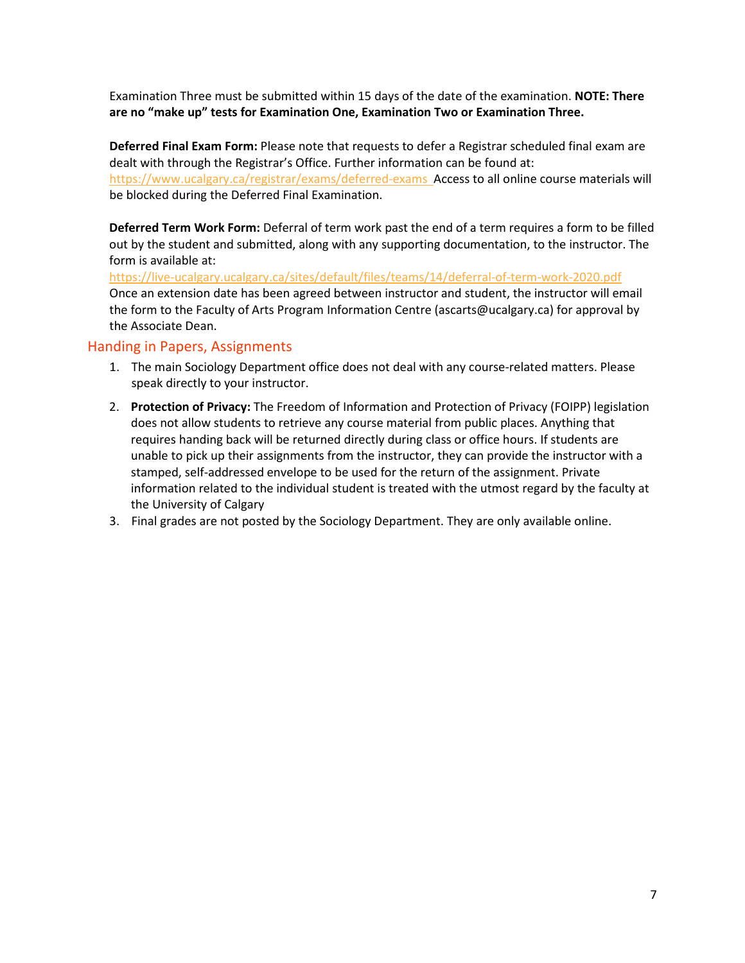Examination Three must be submitted within 15 days of the date of the examination. **NOTE: There are no "make up" tests for Examination One, Examination Two or Examination Three.**

**Deferred Final Exam Form:** Please note that requests to defer a Registrar scheduled final exam are dealt with through the Registrar's Office. Further information can be found at: <https://www.ucalgary.ca/registrar/exams/deferred-exams>Access to all online course materials will be blocked during the Deferred Final Examination.

**Deferred Term Work Form:** Deferral of term work past the end of a term requires a form to be filled out by the student and submitted, along with any supporting documentation, to the instructor. The form is available at:

<https://live-ucalgary.ucalgary.ca/sites/default/files/teams/14/deferral-of-term-work-2020.pdf> Once an extension date has been agreed between instructor and student, the instructor will email the form to the Faculty of Arts Program Information Centre (ascarts@ucalgary.ca) for approval by the Associate Dean.

## Handing in Papers, Assignments

- 1. The main Sociology Department office does not deal with any course-related matters. Please speak directly to your instructor.
- 2. **Protection of Privacy:** The Freedom of Information and Protection of Privacy (FOIPP) legislation does not allow students to retrieve any course material from public places. Anything that requires handing back will be returned directly during class or office hours. If students are unable to pick up their assignments from the instructor, they can provide the instructor with a stamped, self-addressed envelope to be used for the return of the assignment. Private information related to the individual student is treated with the utmost regard by the faculty at the University of Calgary
- 3. Final grades are not posted by the Sociology Department. They are only available online.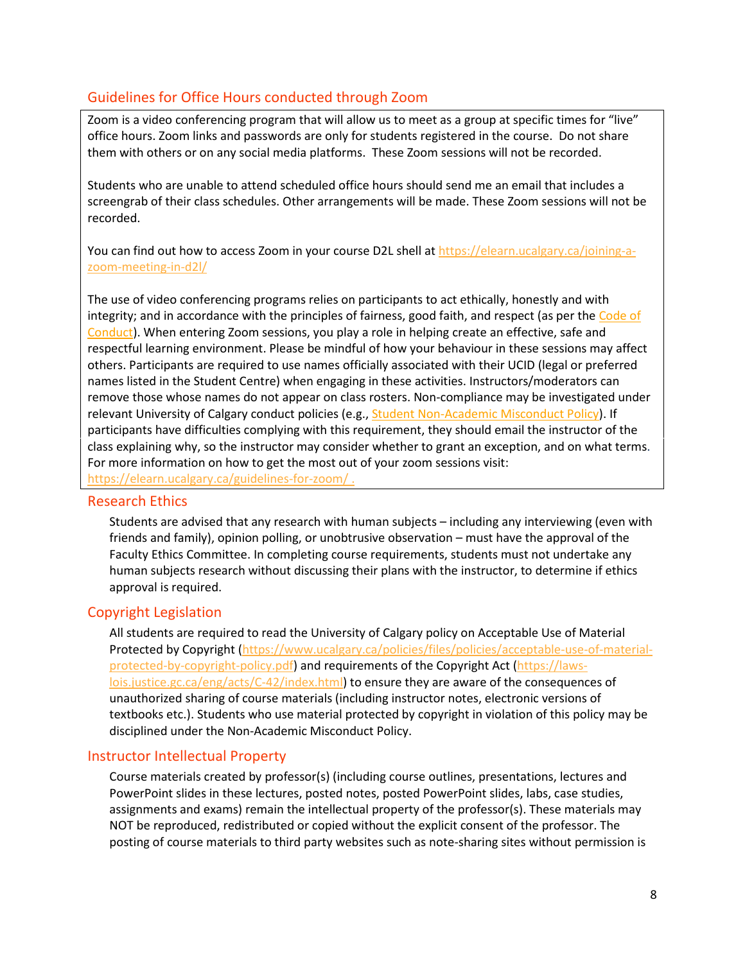## Guidelines for Office Hours conducted through Zoom

Zoom is a video conferencing program that will allow us to meet as a group at specific times for "live" office hours. Zoom links and passwords are only for students registered in the course. Do not share them with others or on any social media platforms. These Zoom sessions will not be recorded.

Students who are unable to attend scheduled office hours should send me an email that includes a screengrab of their class schedules. Other arrangements will be made. These Zoom sessions will not be recorded.

You can find out how to access Zoom in your course D2L shell a[t https://elearn.ucalgary.ca/joining-a](https://elearn.ucalgary.ca/joining-a-zoom-meeting-in-d2l/)[zoom-meeting-in-d2l/](https://elearn.ucalgary.ca/joining-a-zoom-meeting-in-d2l/)

The use of video conferencing programs relies on participants to act ethically, honestly and with integrity; and in accordance with the principles of fairness, good faith, and respect (as per the [Code of](https://www.ucalgary.ca/policies/files/policies/code-of-conduct.pdf)  [Conduct\)](https://www.ucalgary.ca/policies/files/policies/code-of-conduct.pdf). When entering Zoom sessions, you play a role in helping create an effective, safe and respectful learning environment. Please be mindful of how your behaviour in these sessions may affect others. Participants are required to use names officially associated with their UCID (legal or preferred names listed in the Student Centre) when engaging in these activities. Instructors/moderators can remove those whose names do not appear on class rosters. Non-compliance may be investigated under relevant University of Calgary conduct policies (e.g.[, Student Non-Academic Misconduct Policy\)](https://ucalgary.ca/policies/files/policies/non-academic-misconduct-policy.pdf). If participants have difficulties complying with this requirement, they should email the instructor of the class explaining why, so the instructor may consider whether to grant an exception, and on what terms. For more information on how to get the most out of your zoom sessions visit:

<https://elearn.ucalgary.ca/guidelines-for-zoom/> .

### Research Ethics

Students are advised that any research with human subjects – including any interviewing (even with friends and family), opinion polling, or unobtrusive observation – must have the approval of the Faculty Ethics Committee. In completing course requirements, students must not undertake any human subjects research without discussing their plans with the instructor, to determine if ethics approval is required.

## Copyright Legislation

All students are required to read the University of Calgary policy on Acceptable Use of Material Protected by Copyright [\(https://www.ucalgary.ca/policies/files/policies/acceptable-use-of-material](https://www.ucalgary.ca/policies/files/policies/acceptable-use-of-material-protected-by-copyright-policy.pdf)[protected-by-copyright-policy.pdf\)](https://www.ucalgary.ca/policies/files/policies/acceptable-use-of-material-protected-by-copyright-policy.pdf) and requirements of the Copyright Act [\(https://laws](https://laws-lois.justice.gc.ca/eng/acts/C-42/index.html)[lois.justice.gc.ca/eng/acts/C-42/index.html\)](https://laws-lois.justice.gc.ca/eng/acts/C-42/index.html) to ensure they are aware of the consequences of unauthorized sharing of course materials (including instructor notes, electronic versions of textbooks etc.). Students who use material protected by copyright in violation of this policy may be disciplined under the Non-Academic Misconduct Policy.

## Instructor Intellectual Property

Course materials created by professor(s) (including course outlines, presentations, lectures and PowerPoint slides in these lectures, posted notes, posted PowerPoint slides, labs, case studies, assignments and exams) remain the intellectual property of the professor(s). These materials may NOT be reproduced, redistributed or copied without the explicit consent of the professor. The posting of course materials to third party websites such as note-sharing sites without permission is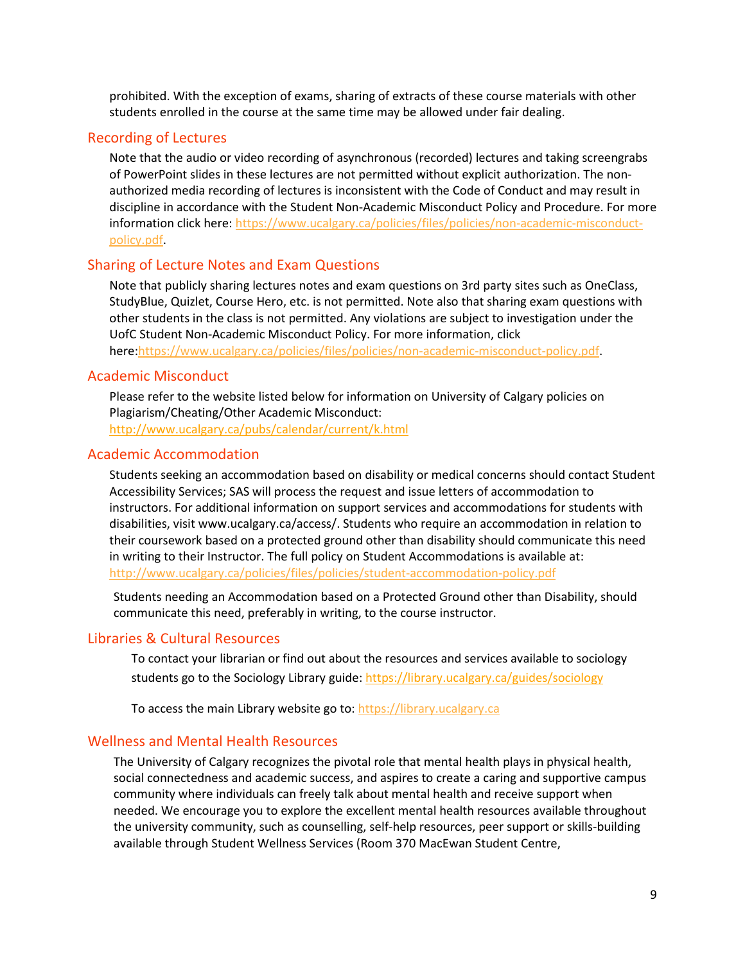prohibited. With the exception of exams, sharing of extracts of these course materials with other students enrolled in the course at the same time may be allowed under fair dealing.

#### Recording of Lectures

Note that the audio or video recording of asynchronous (recorded) lectures and taking screengrabs of PowerPoint slides in these lectures are not permitted without explicit authorization. The nonauthorized media recording of lectures is inconsistent with the Code of Conduct and may result in discipline in accordance with the Student Non-Academic Misconduct Policy and Procedure. For more information click here: [https://www.ucalgary.ca/policies/files/policies/non-academic-misconduct](https://www.ucalgary.ca/policies/files/policies/non-academic-misconduct-policy.pdf)[policy.pdf.](https://www.ucalgary.ca/policies/files/policies/non-academic-misconduct-policy.pdf)

#### Sharing of Lecture Notes and Exam Questions

Note that publicly sharing lectures notes and exam questions on 3rd party sites such as OneClass, StudyBlue, Quizlet, Course Hero, etc. is not permitted. Note also that sharing exam questions with other students in the class is not permitted. Any violations are subject to investigation under the UofC Student Non-Academic Misconduct Policy. For more information, click here[:https://www.ucalgary.ca/policies/files/policies/non-academic-misconduct-policy.pdf.](https://www.ucalgary.ca/policies/files/policies/non-academic-misconduct-policy.pdf)

### Academic Misconduct

Please refer to the website listed below for information on University of Calgary policies on Plagiarism/Cheating/Other Academic Misconduct: <http://www.ucalgary.ca/pubs/calendar/current/k.html>

#### Academic Accommodation

Students seeking an accommodation based on disability or medical concerns should contact Student Accessibility Services; SAS will process the request and issue letters of accommodation to instructors. For additional information on support services and accommodations for students with disabilities, visit www.ucalgary.ca/access/. Students who require an accommodation in relation to their coursework based on a protected ground other than disability should communicate this need in writing to their Instructor. The full policy on Student Accommodations is available at: <http://www.ucalgary.ca/policies/files/policies/student-accommodation-policy.pdf>

Students needing an Accommodation based on a Protected Ground other than Disability, should communicate this need, preferably in writing, to the course instructor.

## Libraries & Cultural Resources

To contact your librarian or find out about the resources and services available to sociology students go to the Sociology Library guide[: https://library.ucalgary.ca/guides/sociology](https://library.ucalgary.ca/guides/sociology)

To access the main Library website go to: [https://library.ucalgary.ca](https://library.ucalgary.ca/)

## Wellness and Mental Health Resources

The University of Calgary recognizes the pivotal role that mental health plays in physical health, social connectedness and academic success, and aspires to create a caring and supportive campus community where individuals can freely talk about mental health and receive support when needed. We encourage you to explore the excellent mental health resources available throughout the university community, such as counselling, self-help resources, peer support or skills-building available through Student Wellness Services (Room 370 MacEwan Student Centre,